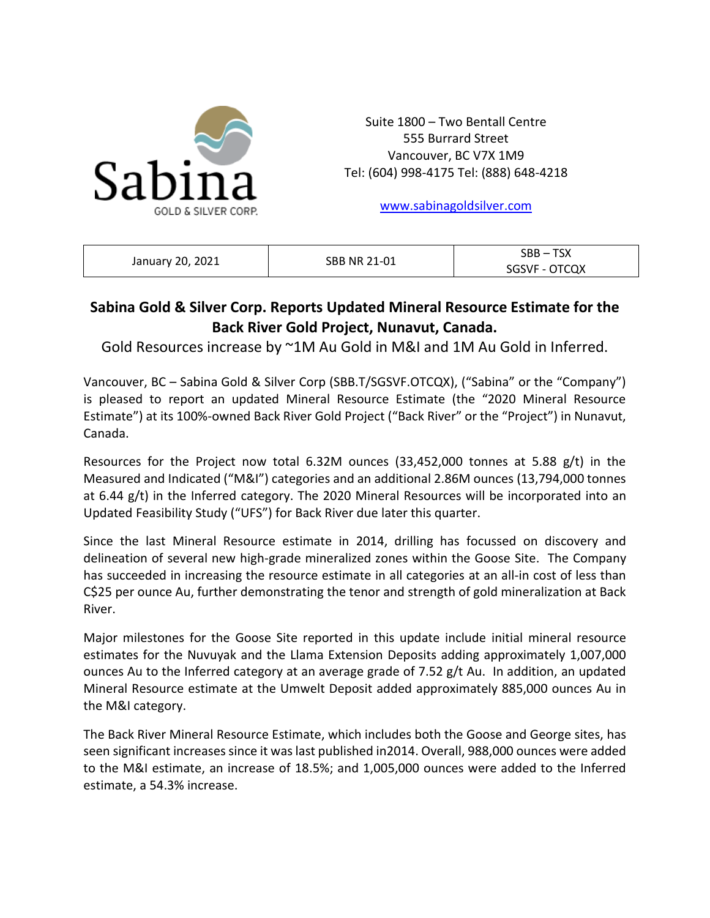

[www.sabinagoldsilver.com](http://www.sabinagoldsilver.com/)

| January 20, 2021 | <b>SBB NR 21-01</b> | <b>TSX</b><br>$\mathsf{SBB}-1$ |  |
|------------------|---------------------|--------------------------------|--|
|                  |                     | SGSVF - OTCQX                  |  |

# **Sabina Gold & Silver Corp. Reports Updated Mineral Resource Estimate for the Back River Gold Project, Nunavut, Canada.**

Gold Resources increase by ~1M Au Gold in M&I and 1M Au Gold in Inferred.

Vancouver, BC – Sabina Gold & Silver Corp (SBB.T/SGSVF.OTCQX), ("Sabina" or the "Company") is pleased to report an updated Mineral Resource Estimate (the "2020 Mineral Resource Estimate") at its 100%-owned Back River Gold Project ("Back River" or the "Project") in Nunavut, Canada.

Resources for the Project now total 6.32M ounces (33,452,000 tonnes at 5.88 g/t) in the Measured and Indicated ("M&I") categories and an additional 2.86M ounces (13,794,000 tonnes at 6.44 g/t) in the Inferred category. The 2020 Mineral Resources will be incorporated into an Updated Feasibility Study ("UFS") for Back River due later this quarter.

Since the last Mineral Resource estimate in 2014, drilling has focussed on discovery and delineation of several new high-grade mineralized zones within the Goose Site. The Company has succeeded in increasing the resource estimate in all categories at an all-in cost of less than C\$25 per ounce Au, further demonstrating the tenor and strength of gold mineralization at Back River.

Major milestones for the Goose Site reported in this update include initial mineral resource estimates for the Nuvuyak and the Llama Extension Deposits adding approximately 1,007,000 ounces Au to the Inferred category at an average grade of 7.52 g/t Au. In addition, an updated Mineral Resource estimate at the Umwelt Deposit added approximately 885,000 ounces Au in the M&I category.

The Back River Mineral Resource Estimate, which includes both the Goose and George sites, has seen significant increases since it was last published in2014. Overall, 988,000 ounces were added to the M&I estimate, an increase of 18.5%; and 1,005,000 ounces were added to the Inferred estimate, a 54.3% increase.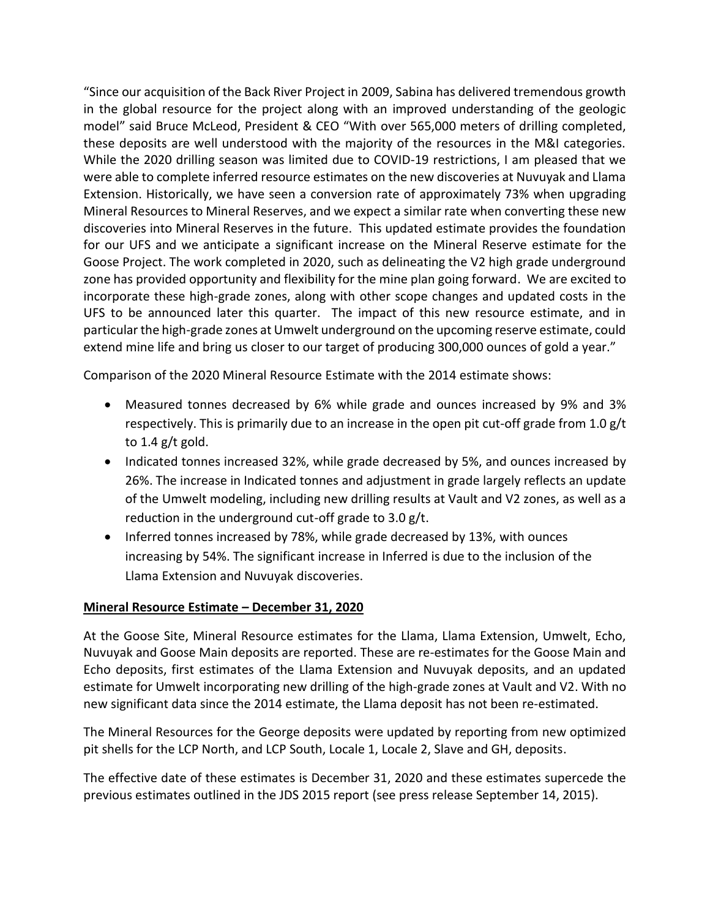"Since our acquisition of the Back River Project in 2009, Sabina has delivered tremendous growth in the global resource for the project along with an improved understanding of the geologic model" said Bruce McLeod, President & CEO "With over 565,000 meters of drilling completed, these deposits are well understood with the majority of the resources in the M&I categories. While the 2020 drilling season was limited due to COVID-19 restrictions, I am pleased that we were able to complete inferred resource estimates on the new discoveries at Nuvuyak and Llama Extension. Historically, we have seen a conversion rate of approximately 73% when upgrading Mineral Resources to Mineral Reserves, and we expect a similar rate when converting these new discoveries into Mineral Reserves in the future. This updated estimate provides the foundation for our UFS and we anticipate a significant increase on the Mineral Reserve estimate for the Goose Project. The work completed in 2020, such as delineating the V2 high grade underground zone has provided opportunity and flexibility for the mine plan going forward. We are excited to incorporate these high-grade zones, along with other scope changes and updated costs in the UFS to be announced later this quarter. The impact of this new resource estimate, and in particular the high-grade zones at Umwelt underground on the upcoming reserve estimate, could extend mine life and bring us closer to our target of producing 300,000 ounces of gold a year."

Comparison of the 2020 Mineral Resource Estimate with the 2014 estimate shows:

- Measured tonnes decreased by 6% while grade and ounces increased by 9% and 3% respectively. This is primarily due to an increase in the open pit cut-off grade from 1.0 g/t to 1.4  $g/t$  gold.
- Indicated tonnes increased 32%, while grade decreased by 5%, and ounces increased by 26%. The increase in Indicated tonnes and adjustment in grade largely reflects an update of the Umwelt modeling, including new drilling results at Vault and V2 zones, as well as a reduction in the underground cut-off grade to 3.0 g/t.
- Inferred tonnes increased by 78%, while grade decreased by 13%, with ounces increasing by 54%. The significant increase in Inferred is due to the inclusion of the Llama Extension and Nuvuyak discoveries.

# **Mineral Resource Estimate – December 31, 2020**

At the Goose Site, Mineral Resource estimates for the Llama, Llama Extension, Umwelt, Echo, Nuvuyak and Goose Main deposits are reported. These are re-estimates for the Goose Main and Echo deposits, first estimates of the Llama Extension and Nuvuyak deposits, and an updated estimate for Umwelt incorporating new drilling of the high-grade zones at Vault and V2. With no new significant data since the 2014 estimate, the Llama deposit has not been re-estimated.

The Mineral Resources for the George deposits were updated by reporting from new optimized pit shells for the LCP North, and LCP South, Locale 1, Locale 2, Slave and GH, deposits.

The effective date of these estimates is December 31, 2020 and these estimates supercede the previous estimates outlined in the JDS 2015 report (see press release September 14, 2015).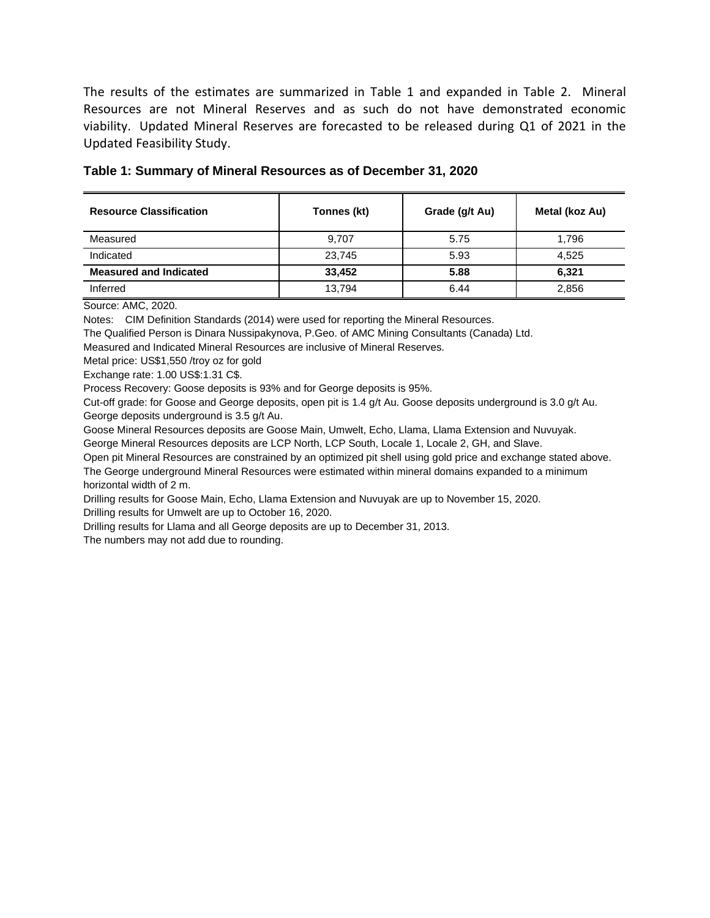The results of the estimates are summarized in Table 1 and expanded in Table 2. Mineral Resources are not Mineral Reserves and as such do not have demonstrated economic viability. Updated Mineral Reserves are forecasted to be released during Q1 of 2021 in the Updated Feasibility Study.

| <b>Resource Classification</b> | Tonnes (kt) | Grade (g/t Au) | Metal (koz Au) |
|--------------------------------|-------------|----------------|----------------|
| Measured                       | 9,707       | 5.75           | 1,796          |
| Indicated                      | 23,745      | 5.93           | 4,525          |
| <b>Measured and Indicated</b>  | 33,452      | 5.88           | 6,321          |
| Inferred                       | 13,794      | 6.44           | 2,856          |

### **Table 1: Summary of Mineral Resources as of December 31, 2020**

Source: AMC, 2020.

Notes: CIM Definition Standards (2014) were used for reporting the Mineral Resources.

The Qualified Person is Dinara Nussipakynova, P.Geo. of AMC Mining Consultants (Canada) Ltd.

Measured and Indicated Mineral Resources are inclusive of Mineral Reserves.

Metal price: US\$1,550 /troy oz for gold

Exchange rate: 1.00 US\$:1.31 C\$.

Process Recovery: Goose deposits is 93% and for George deposits is 95%.

Cut-off grade: for Goose and George deposits, open pit is 1.4 g/t Au. Goose deposits underground is 3.0 g/t Au. George deposits underground is 3.5 g/t Au.

Goose Mineral Resources deposits are Goose Main, Umwelt, Echo, Llama, Llama Extension and Nuvuyak.

George Mineral Resources deposits are LCP North, LCP South, Locale 1, Locale 2, GH, and Slave.

Open pit Mineral Resources are constrained by an optimized pit shell using gold price and exchange stated above. The George underground Mineral Resources were estimated within mineral domains expanded to a minimum horizontal width of 2 m.

Drilling results for Goose Main, Echo, Llama Extension and Nuvuyak are up to November 15, 2020.

Drilling results for Umwelt are up to October 16, 2020.

Drilling results for Llama and all George deposits are up to December 31, 2013.

The numbers may not add due to rounding.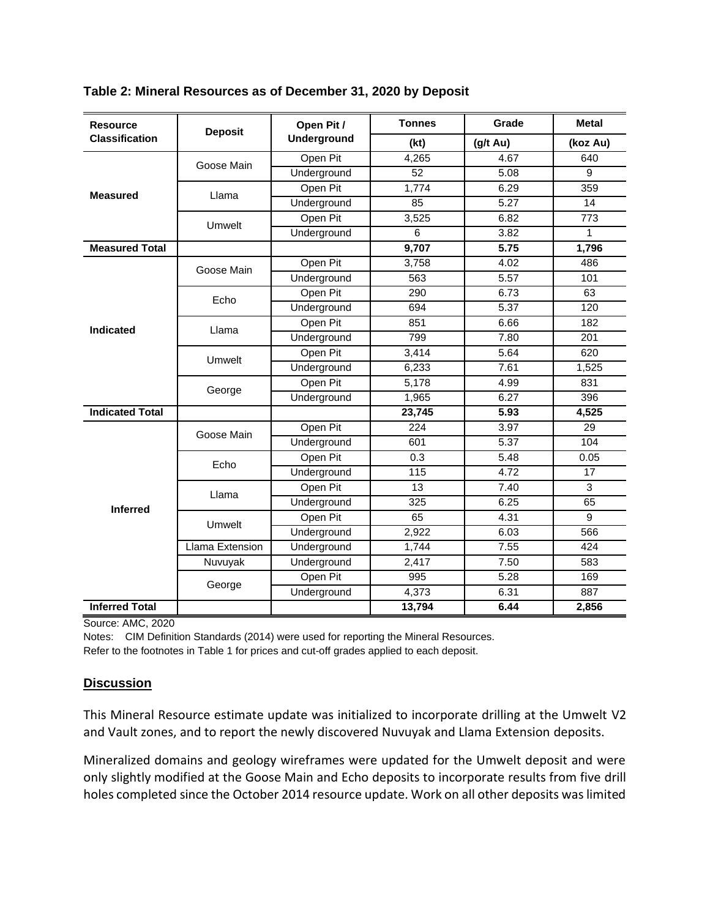| <b>Resource</b><br><b>Classification</b> | <b>Deposit</b>  | Open Pit /<br><b>Underground</b> | <b>Tonnes</b>    | Grade              | <b>Metal</b> |
|------------------------------------------|-----------------|----------------------------------|------------------|--------------------|--------------|
|                                          |                 |                                  | (kt)             | $(g/t \text{ Au})$ | (koz Au)     |
| <b>Measured</b>                          | Goose Main      | Open Pit                         | 4,265            | 4.67               | 640          |
|                                          |                 | Underground                      | 52               | 5.08               | 9            |
|                                          | Llama           | Open Pit                         | 1,774            | 6.29               | 359          |
|                                          |                 | Underground                      | 85               | 5.27               | 14           |
|                                          | Umwelt          | Open Pit                         | 3,525            | 6.82               | 773          |
|                                          |                 | Underground                      | 6                | 3.82               | 1            |
| <b>Measured Total</b>                    |                 |                                  | 9,707            | 5.75               | 1,796        |
|                                          | Goose Main      | Open Pit                         | 3,758            | 4.02               | 486          |
|                                          |                 | Underground                      | 563              | 5.57               | 101          |
|                                          | Echo            | Open Pit                         | 290              | 6.73               | 63           |
|                                          |                 | Underground                      | 694              | 5.37               | 120          |
| Indicated                                | Llama           | Open Pit                         | 851              | 6.66               | 182          |
|                                          |                 | Underground                      | 799              | 7.80               | 201          |
|                                          | <b>Umwelt</b>   | Open Pit                         | 3,414            | 5.64               | 620          |
|                                          |                 | Underground                      | 6,233            | 7.61               | 1,525        |
|                                          | George          | Open Pit                         | 5,178            | 4.99               | 831          |
|                                          |                 | Underground                      | 1,965            | 6.27               | 396          |
| <b>Indicated Total</b>                   |                 |                                  | 23,745           | 5.93               | 4,525        |
| <b>Inferred</b>                          | Goose Main      | Open Pit                         | 224              | 3.97               | 29           |
|                                          |                 | Underground                      | 601              | 5.37               | 104          |
|                                          | Echo            | Open Pit                         | 0.3              | 5.48               | 0.05         |
|                                          |                 | Underground                      | $\overline{115}$ | 4.72               | 17           |
|                                          | Llama           | Open Pit                         | $\overline{13}$  | 7.40               | 3            |
|                                          |                 | Underground                      | 325              | 6.25               | 65           |
|                                          | <b>Umwelt</b>   | Open Pit                         | 65               | 4.31               | 9            |
|                                          |                 | Underground                      | 2,922            | 6.03               | 566          |
|                                          | Llama Extension | Underground                      | 1,744            | 7.55               | 424          |
|                                          | Nuvuyak         | Underground                      | 2,417            | 7.50               | 583          |
|                                          | George          | Open Pit                         | 995              | 5.28               | 169          |
|                                          |                 | Underground                      | 4,373            | 6.31               | 887          |
| <b>Inferred Total</b>                    |                 |                                  | 13,794           | 6.44               | 2,856        |

# **Table 2: Mineral Resources as of December 31, 2020 by Deposit**

Source: AMC, 2020

Notes: CIM Definition Standards (2014) were used for reporting the Mineral Resources. Refer to the footnotes in Table 1 for prices and cut-off grades applied to each deposit.

# **Discussion**

This Mineral Resource estimate update was initialized to incorporate drilling at the Umwelt V2 and Vault zones, and to report the newly discovered Nuvuyak and Llama Extension deposits.

Mineralized domains and geology wireframes were updated for the Umwelt deposit and were only slightly modified at the Goose Main and Echo deposits to incorporate results from five drill holes completed since the October 2014 resource update. Work on all other deposits was limited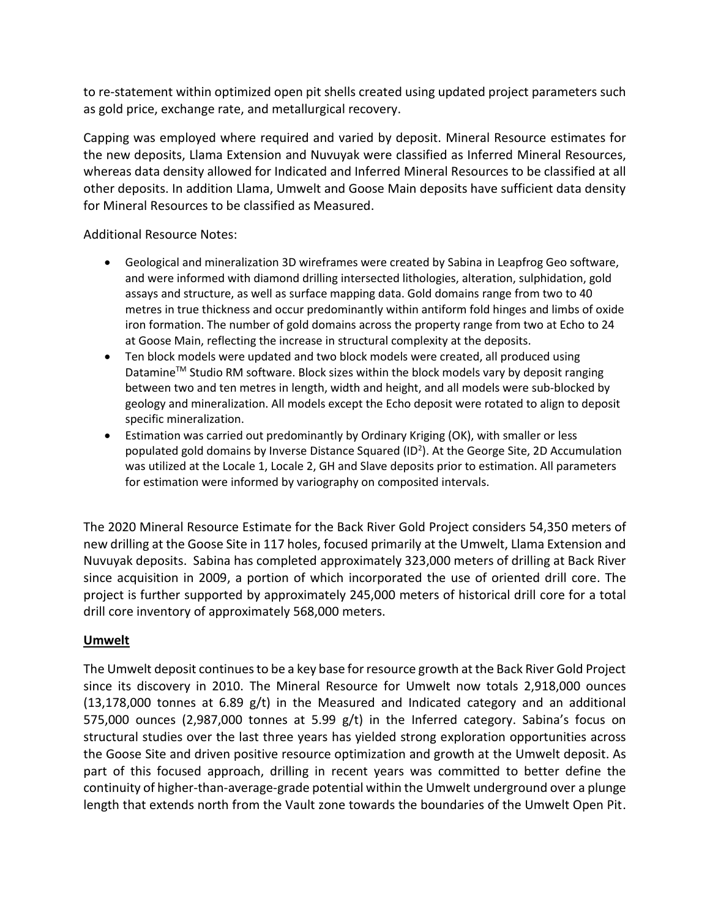to re-statement within optimized open pit shells created using updated project parameters such as gold price, exchange rate, and metallurgical recovery.

Capping was employed where required and varied by deposit. Mineral Resource estimates for the new deposits, Llama Extension and Nuvuyak were classified as Inferred Mineral Resources, whereas data density allowed for Indicated and Inferred Mineral Resources to be classified at all other deposits. In addition Llama, Umwelt and Goose Main deposits have sufficient data density for Mineral Resources to be classified as Measured.

### Additional Resource Notes:

- Geological and mineralization 3D wireframes were created by Sabina in Leapfrog Geo software, and were informed with diamond drilling intersected lithologies, alteration, sulphidation, gold assays and structure, as well as surface mapping data. Gold domains range from two to 40 metres in true thickness and occur predominantly within antiform fold hinges and limbs of oxide iron formation. The number of gold domains across the property range from two at Echo to 24 at Goose Main, reflecting the increase in structural complexity at the deposits.
- Ten block models were updated and two block models were created, all produced using Datamine<sup>TM</sup> Studio RM software. Block sizes within the block models vary by deposit ranging between two and ten metres in length, width and height, and all models were sub-blocked by geology and mineralization. All models except the Echo deposit were rotated to align to deposit specific mineralization.
- Estimation was carried out predominantly by Ordinary Kriging (OK), with smaller or less populated gold domains by Inverse Distance Squared (ID<sup>2</sup>). At the George Site, 2D Accumulation was utilized at the Locale 1, Locale 2, GH and Slave deposits prior to estimation. All parameters for estimation were informed by variography on composited intervals.

The 2020 Mineral Resource Estimate for the Back River Gold Project considers 54,350 meters of new drilling at the Goose Site in 117 holes, focused primarily at the Umwelt, Llama Extension and Nuvuyak deposits. Sabina has completed approximately 323,000 meters of drilling at Back River since acquisition in 2009, a portion of which incorporated the use of oriented drill core. The project is further supported by approximately 245,000 meters of historical drill core for a total drill core inventory of approximately 568,000 meters.

### **Umwelt**

The Umwelt deposit continues to be a key base for resource growth at the Back River Gold Project since its discovery in 2010. The Mineral Resource for Umwelt now totals 2,918,000 ounces  $(13,178,000$  tonnes at 6.89  $g/t$ ) in the Measured and Indicated category and an additional 575,000 ounces (2,987,000 tonnes at 5.99 g/t) in the Inferred category. Sabina's focus on structural studies over the last three years has yielded strong exploration opportunities across the Goose Site and driven positive resource optimization and growth at the Umwelt deposit. As part of this focused approach, drilling in recent years was committed to better define the continuity of higher-than-average-grade potential within the Umwelt underground over a plunge length that extends north from the Vault zone towards the boundaries of the Umwelt Open Pit.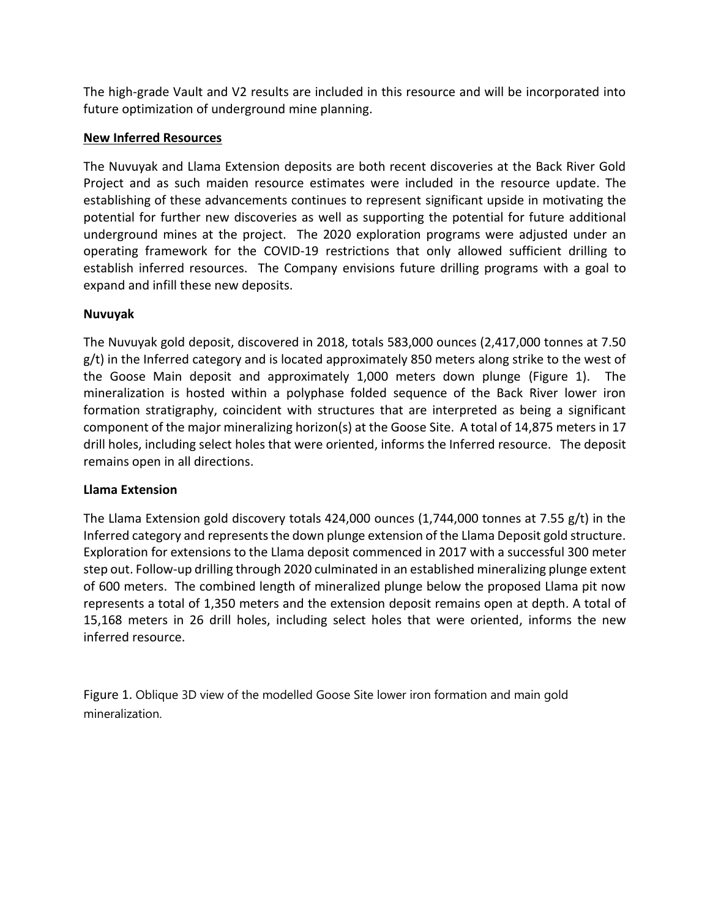The high-grade Vault and V2 results are included in this resource and will be incorporated into future optimization of underground mine planning.

# **New Inferred Resources**

The Nuvuyak and Llama Extension deposits are both recent discoveries at the Back River Gold Project and as such maiden resource estimates were included in the resource update. The establishing of these advancements continues to represent significant upside in motivating the potential for further new discoveries as well as supporting the potential for future additional underground mines at the project. The 2020 exploration programs were adjusted under an operating framework for the COVID-19 restrictions that only allowed sufficient drilling to establish inferred resources. The Company envisions future drilling programs with a goal to expand and infill these new deposits.

# **Nuvuyak**

The Nuvuyak gold deposit, discovered in 2018, totals 583,000 ounces (2,417,000 tonnes at 7.50 g/t) in the Inferred category and is located approximately 850 meters along strike to the west of the Goose Main deposit and approximately 1,000 meters down plunge (Figure 1). The mineralization is hosted within a polyphase folded sequence of the Back River lower iron formation stratigraphy, coincident with structures that are interpreted as being a significant component of the major mineralizing horizon(s) at the Goose Site. A total of 14,875 meters in 17 drill holes, including select holes that were oriented, informs the Inferred resource. The deposit remains open in all directions.

### **Llama Extension**

The Llama Extension gold discovery totals 424,000 ounces (1,744,000 tonnes at 7.55 g/t) in the Inferred category and represents the down plunge extension of the Llama Deposit gold structure. Exploration for extensions to the Llama deposit commenced in 2017 with a successful 300 meter step out. Follow-up drilling through 2020 culminated in an established mineralizing plunge extent of 600 meters. The combined length of mineralized plunge below the proposed Llama pit now represents a total of 1,350 meters and the extension deposit remains open at depth. A total of 15,168 meters in 26 drill holes, including select holes that were oriented, informs the new inferred resource.

Figure 1. Oblique 3D view of the modelled Goose Site lower iron formation and main gold mineralization.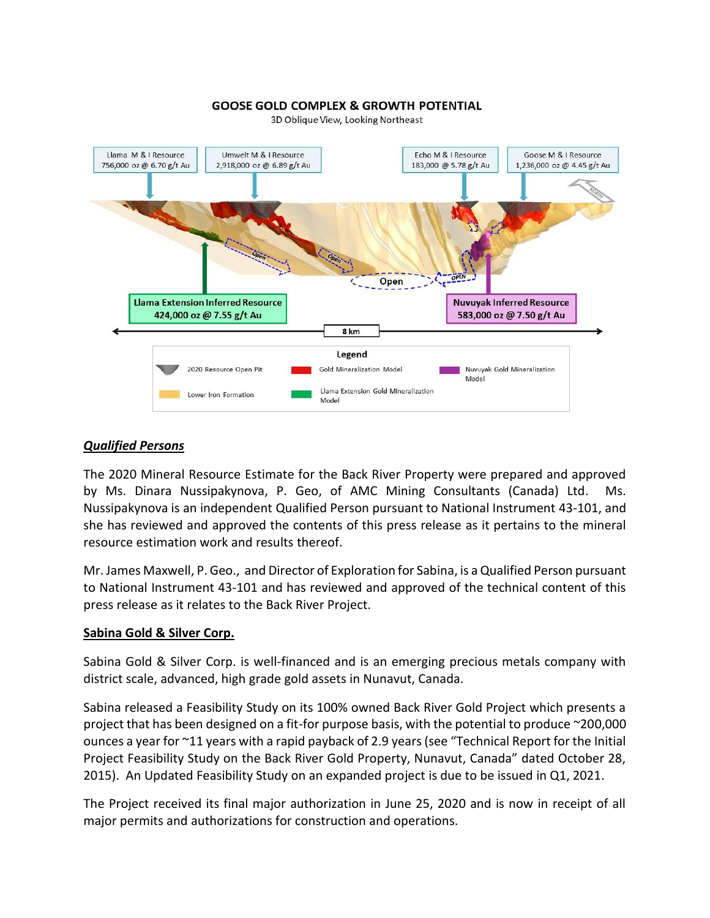#### GOOSE GOLD COMPLEX & GROWTH POTENTIAL

3D Oblique View, Looking Northeast



### *Qualified Persons*

The 2020 Mineral Resource Estimate for the Back River Property were prepared and approved by Ms. Dinara Nussipakynova, P. Geo, of AMC Mining Consultants (Canada) Ltd. Ms. Nussipakynova is an independent Qualified Person pursuant to National Instrument 43-101, and she has reviewed and approved the contents of this press release as it pertains to the mineral resource estimation work and results thereof.

Mr. James Maxwell, P. Geo., and Director of Exploration for Sabina, is a Qualified Person pursuant to National Instrument 43-101 and has reviewed and approved of the technical content of this press release as it relates to the Back River Project.

#### **Sabina Gold & Silver Corp.**

Sabina Gold & Silver Corp. is well-financed and is an emerging precious metals company with district scale, advanced, high grade gold assets in Nunavut, Canada.

Sabina released a Feasibility Study on its 100% owned Back River Gold Project which presents a project that has been designed on a fit-for purpose basis, with the potential to produce ~200,000 ounces a year for ~11 years with a rapid payback of 2.9 years (see "Technical Report for the Initial Project Feasibility Study on the Back River Gold Property, Nunavut, Canada" dated October 28, 2015). An Updated Feasibility Study on an expanded project is due to be issued in Q1, 2021.

The Project received its final major authorization in June 25, 2020 and is now in receipt of all major permits and authorizations for construction and operations.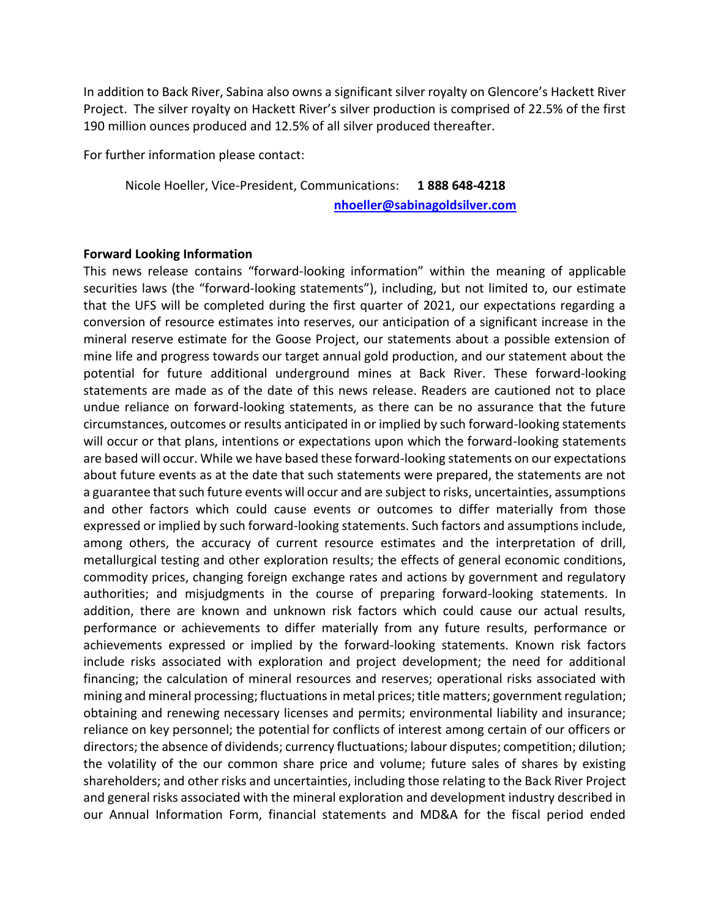In addition to Back River, Sabina also owns a significant silver royalty on Glencore's Hackett River Project. The silver royalty on Hackett River's silver production is comprised of 22.5% of the first 190 million ounces produced and 12.5% of all silver produced thereafter.

For further information please contact:

Nicole Hoeller, Vice-President, Communications: **1 888 648-4218 [nhoeller@sabinagoldsilver.com](mailto:nhoeller@sabinagoldsilver.com)**

### **Forward Looking Information**

This news release contains "forward-looking information" within the meaning of applicable securities laws (the "forward-looking statements"), including, but not limited to, our estimate that the UFS will be completed during the first quarter of 2021, our expectations regarding a conversion of resource estimates into reserves, our anticipation of a significant increase in the mineral reserve estimate for the Goose Project, our statements about a possible extension of mine life and progress towards our target annual gold production, and our statement about the potential for future additional underground mines at Back River. These forward-looking statements are made as of the date of this news release. Readers are cautioned not to place undue reliance on forward-looking statements, as there can be no assurance that the future circumstances, outcomes or results anticipated in or implied by such forward-looking statements will occur or that plans, intentions or expectations upon which the forward-looking statements are based will occur. While we have based these forward-looking statements on our expectations about future events as at the date that such statements were prepared, the statements are not a guarantee that such future events will occur and are subject to risks, uncertainties, assumptions and other factors which could cause events or outcomes to differ materially from those expressed or implied by such forward-looking statements. Such factors and assumptions include, among others, the accuracy of current resource estimates and the interpretation of drill, metallurgical testing and other exploration results; the effects of general economic conditions, commodity prices, changing foreign exchange rates and actions by government and regulatory authorities; and misjudgments in the course of preparing forward-looking statements. In addition, there are known and unknown risk factors which could cause our actual results, performance or achievements to differ materially from any future results, performance or achievements expressed or implied by the forward-looking statements. Known risk factors include risks associated with exploration and project development; the need for additional financing; the calculation of mineral resources and reserves; operational risks associated with mining and mineral processing; fluctuations in metal prices; title matters; government regulation; obtaining and renewing necessary licenses and permits; environmental liability and insurance; reliance on key personnel; the potential for conflicts of interest among certain of our officers or directors; the absence of dividends; currency fluctuations; labour disputes; competition; dilution; the volatility of the our common share price and volume; future sales of shares by existing shareholders; and other risks and uncertainties, including those relating to the Back River Project and general risks associated with the mineral exploration and development industry described in our Annual Information Form, financial statements and MD&A for the fiscal period ended